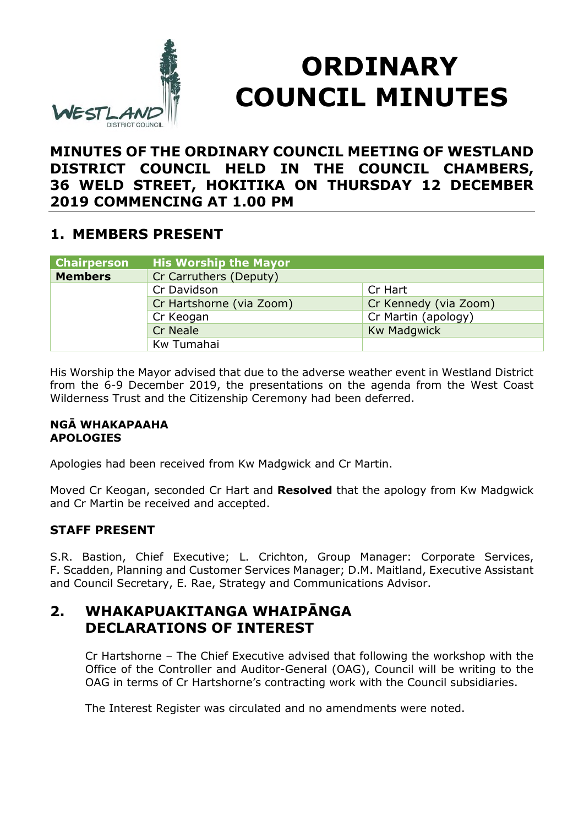

# **ORDINARY COUNCIL MINUTES**

## **MINUTES OF THE ORDINARY COUNCIL MEETING OF WESTLAND DISTRICT COUNCIL HELD IN THE COUNCIL CHAMBERS, 36 WELD STREET, HOKITIKA ON THURSDAY 12 DECEMBER 2019 COMMENCING AT 1.00 PM**

### **1. MEMBERS PRESENT**

| <b>Chairperson</b> | <b>His Worship the Mayor</b> |                       |
|--------------------|------------------------------|-----------------------|
| <b>Members</b>     | Cr Carruthers (Deputy)       |                       |
|                    | Cr Davidson                  | Cr Hart               |
|                    | Cr Hartshorne (via Zoom)     | Cr Kennedy (via Zoom) |
|                    | Cr Keogan                    | Cr Martin (apology)   |
|                    | <b>Cr Neale</b>              | <b>Kw Madgwick</b>    |
|                    | Kw Tumahai                   |                       |

His Worship the Mayor advised that due to the adverse weather event in Westland District from the 6-9 December 2019, the presentations on the agenda from the West Coast Wilderness Trust and the Citizenship Ceremony had been deferred.

### **NGĀ WHAKAPAAHA APOLOGIES**

Apologies had been received from Kw Madgwick and Cr Martin.

Moved Cr Keogan, seconded Cr Hart and **Resolved** that the apology from Kw Madgwick and Cr Martin be received and accepted.

### **STAFF PRESENT**

S.R. Bastion, Chief Executive; L. Crichton, Group Manager: Corporate Services, F. Scadden, Planning and Customer Services Manager; D.M. Maitland, Executive Assistant and Council Secretary, E. Rae, Strategy and Communications Advisor.

# **2. WHAKAPUAKITANGA WHAIPĀNGA DECLARATIONS OF INTEREST**

Cr Hartshorne – The Chief Executive advised that following the workshop with the Office of the Controller and Auditor-General (OAG), Council will be writing to the OAG in terms of Cr Hartshorne's contracting work with the Council subsidiaries.

The Interest Register was circulated and no amendments were noted.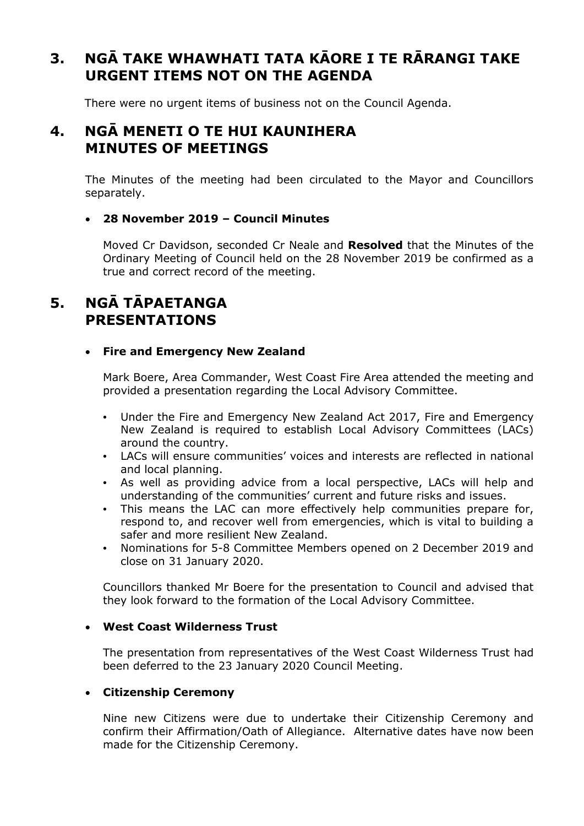# **3. NGĀ TAKE WHAWHATI TATA KĀORE I TE RĀRANGI TAKE URGENT ITEMS NOT ON THE AGENDA**

There were no urgent items of business not on the Council Agenda.

### **4. NGĀ MENETI O TE HUI KAUNIHERA MINUTES OF MEETINGS**

The Minutes of the meeting had been circulated to the Mayor and Councillors separately.

#### **28 November 2019 – Council Minutes**

Moved Cr Davidson, seconded Cr Neale and **Resolved** that the Minutes of the Ordinary Meeting of Council held on the 28 November 2019 be confirmed as a true and correct record of the meeting.

# **5. NGĀ TĀPAETANGA PRESENTATIONS**

#### **Fire and Emergency New Zealand**

Mark Boere, Area Commander, West Coast Fire Area attended the meeting and provided a presentation regarding the Local Advisory Committee.

- Under the Fire and Emergency New Zealand Act 2017, Fire and Emergency New Zealand is required to establish Local Advisory Committees (LACs) around the country.
- LACs will ensure communities' voices and interests are reflected in national and local planning.
- As well as providing advice from a local perspective, LACs will help and understanding of the communities' current and future risks and issues.
- This means the LAC can more effectively help communities prepare for, respond to, and recover well from emergencies, which is vital to building a safer and more resilient New Zealand.
- Nominations for 5-8 Committee Members opened on 2 December 2019 and close on 31 January 2020.

Councillors thanked Mr Boere for the presentation to Council and advised that they look forward to the formation of the Local Advisory Committee.

#### **West Coast Wilderness Trust**

The presentation from representatives of the West Coast Wilderness Trust had been deferred to the 23 January 2020 Council Meeting.

#### **Citizenship Ceremony**

Nine new Citizens were due to undertake their Citizenship Ceremony and confirm their Affirmation/Oath of Allegiance. Alternative dates have now been made for the Citizenship Ceremony.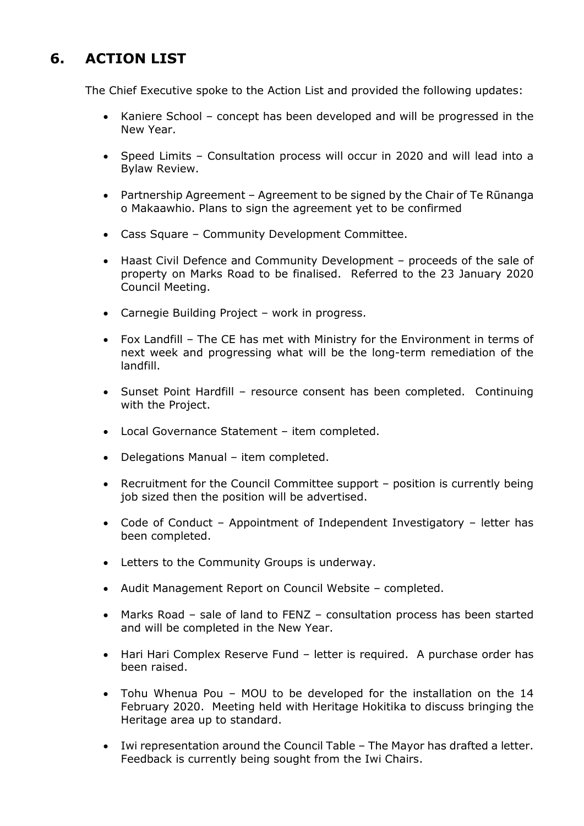# **6. ACTION LIST**

The Chief Executive spoke to the Action List and provided the following updates:

- Kaniere School concept has been developed and will be progressed in the New Year.
- Speed Limits Consultation process will occur in 2020 and will lead into a Bylaw Review.
- Partnership Agreement Agreement to be signed by the Chair of Te Rūnanga o Makaawhio. Plans to sign the agreement yet to be confirmed
- Cass Square Community Development Committee.
- Haast Civil Defence and Community Development proceeds of the sale of property on Marks Road to be finalised. Referred to the 23 January 2020 Council Meeting.
- Carnegie Building Project work in progress.
- Fox Landfill The CE has met with Ministry for the Environment in terms of next week and progressing what will be the long-term remediation of the landfill.
- Sunset Point Hardfill resource consent has been completed. Continuing with the Project.
- Local Governance Statement item completed.
- Delegations Manual item completed.
- Recruitment for the Council Committee support position is currently being job sized then the position will be advertised.
- Code of Conduct Appointment of Independent Investigatory letter has been completed.
- Letters to the Community Groups is underway.
- Audit Management Report on Council Website completed.
- Marks Road sale of land to FENZ consultation process has been started and will be completed in the New Year.
- Hari Hari Complex Reserve Fund letter is required. A purchase order has been raised.
- Tohu Whenua Pou MOU to be developed for the installation on the 14 February 2020. Meeting held with Heritage Hokitika to discuss bringing the Heritage area up to standard.
- Iwi representation around the Council Table The Mayor has drafted a letter. Feedback is currently being sought from the Iwi Chairs.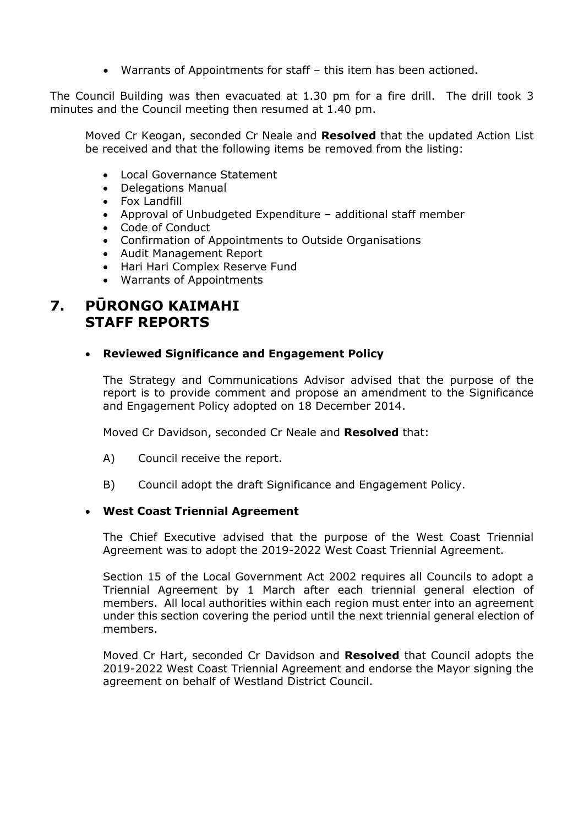Warrants of Appointments for staff – this item has been actioned.

The Council Building was then evacuated at 1.30 pm for a fire drill. The drill took 3 minutes and the Council meeting then resumed at 1.40 pm.

Moved Cr Keogan, seconded Cr Neale and **Resolved** that the updated Action List be received and that the following items be removed from the listing:

- Local Governance Statement
- Delegations Manual
- Fox Landfill
- Approval of Unbudgeted Expenditure additional staff member
- Code of Conduct
- Confirmation of Appointments to Outside Organisations
- Audit Management Report
- Hari Hari Complex Reserve Fund
- Warrants of Appointments

### **7. PŪRONGO KAIMAHI STAFF REPORTS**

### **Reviewed Significance and Engagement Policy**

The Strategy and Communications Advisor advised that the purpose of the report is to provide comment and propose an amendment to the Significance and Engagement Policy adopted on 18 December 2014.

Moved Cr Davidson, seconded Cr Neale and **Resolved** that:

- A) Council receive the report.
- B) Council adopt the draft Significance and Engagement Policy.

#### **West Coast Triennial Agreement**

The Chief Executive advised that the purpose of the West Coast Triennial Agreement was to adopt the 2019-2022 West Coast Triennial Agreement.

Section 15 of the Local Government Act 2002 requires all Councils to adopt a Triennial Agreement by 1 March after each triennial general election of members. All local authorities within each region must enter into an agreement under this section covering the period until the next triennial general election of members.

Moved Cr Hart, seconded Cr Davidson and **Resolved** that Council adopts the 2019-2022 West Coast Triennial Agreement and endorse the Mayor signing the agreement on behalf of Westland District Council.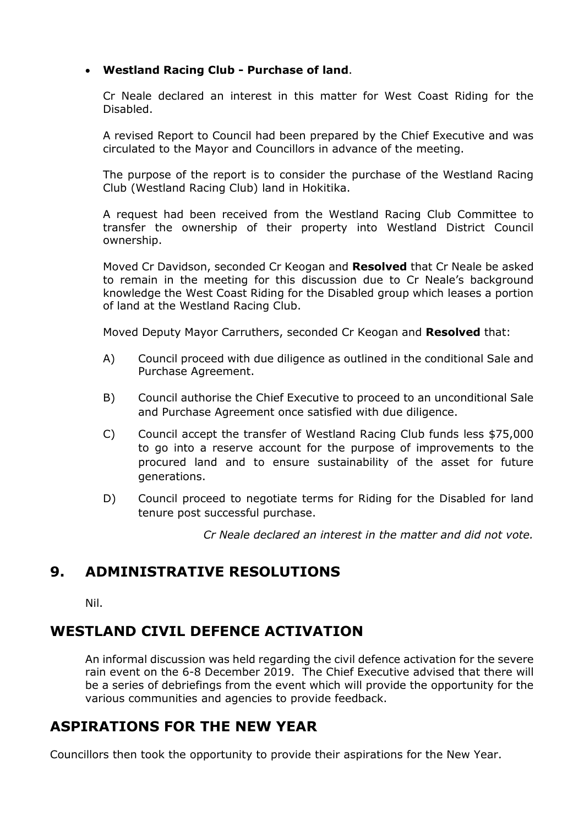#### **Westland Racing Club - Purchase of land**.

Cr Neale declared an interest in this matter for West Coast Riding for the Disabled.

A revised Report to Council had been prepared by the Chief Executive and was circulated to the Mayor and Councillors in advance of the meeting.

The purpose of the report is to consider the purchase of the Westland Racing Club (Westland Racing Club) land in Hokitika.

A request had been received from the Westland Racing Club Committee to transfer the ownership of their property into Westland District Council ownership.

Moved Cr Davidson, seconded Cr Keogan and **Resolved** that Cr Neale be asked to remain in the meeting for this discussion due to Cr Neale's background knowledge the West Coast Riding for the Disabled group which leases a portion of land at the Westland Racing Club.

Moved Deputy Mayor Carruthers, seconded Cr Keogan and **Resolved** that:

- A) Council proceed with due diligence as outlined in the conditional Sale and Purchase Agreement.
- B) Council authorise the Chief Executive to proceed to an unconditional Sale and Purchase Agreement once satisfied with due diligence.
- C) Council accept the transfer of Westland Racing Club funds less \$75,000 to go into a reserve account for the purpose of improvements to the procured land and to ensure sustainability of the asset for future generations.
- D) Council proceed to negotiate terms for Riding for the Disabled for land tenure post successful purchase.

*Cr Neale declared an interest in the matter and did not vote.*

### **9. ADMINISTRATIVE RESOLUTIONS**

Nil.

## **WESTLAND CIVIL DEFENCE ACTIVATION**

An informal discussion was held regarding the civil defence activation for the severe rain event on the 6-8 December 2019. The Chief Executive advised that there will be a series of debriefings from the event which will provide the opportunity for the various communities and agencies to provide feedback.

### **ASPIRATIONS FOR THE NEW YEAR**

Councillors then took the opportunity to provide their aspirations for the New Year.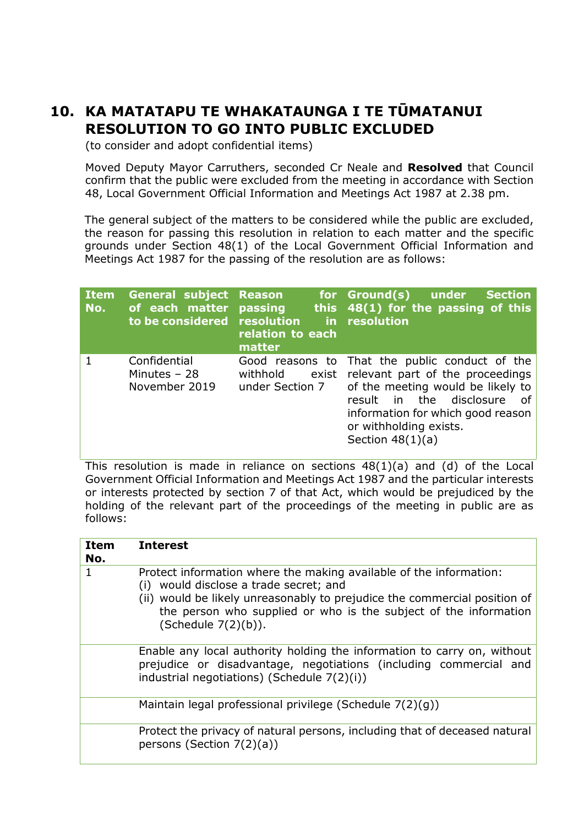# **10. KA MATATAPU TE WHAKATAUNGA I TE TŪMATANUI RESOLUTION TO GO INTO PUBLIC EXCLUDED**

(to consider and adopt confidential items)

Moved Deputy Mayor Carruthers, seconded Cr Neale and **Resolved** that Council confirm that the public were excluded from the meeting in accordance with Section 48, Local Government Official Information and Meetings Act 1987 at 2.38 pm.

The general subject of the matters to be considered while the public are excluded, the reason for passing this resolution in relation to each matter and the specific grounds under Section 48(1) of the Local Government Official Information and Meetings Act 1987 for the passing of the resolution are as follows:

| <b>Item</b><br>No. | <b>General subject</b><br>of each matter<br>to be considered resolution | Reason<br>passing<br>relation to each<br>matter         | for Ground(s) under<br><b>Section</b><br>this $48(1)$ for the passing of this<br>in resolution                                                                                                                                    |
|--------------------|-------------------------------------------------------------------------|---------------------------------------------------------|-----------------------------------------------------------------------------------------------------------------------------------------------------------------------------------------------------------------------------------|
|                    | Confidential<br>Minutes $-28$<br>November 2019                          | Good reasons to<br>withhold<br>exist<br>under Section 7 | That the public conduct of the<br>relevant part of the proceedings<br>of the meeting would be likely to<br>in the disclosure<br>result<br>of<br>information for which good reason<br>or withholding exists.<br>Section $48(1)(a)$ |

This resolution is made in reliance on sections 48(1)(a) and (d) of the Local Government Official Information and Meetings Act 1987 and the particular interests or interests protected by section 7 of that Act, which would be prejudiced by the holding of the relevant part of the proceedings of the meeting in public are as follows:

| <b>Item</b><br>No. | <b>Interest</b>                                                                                                                                                                                                                                                                      |
|--------------------|--------------------------------------------------------------------------------------------------------------------------------------------------------------------------------------------------------------------------------------------------------------------------------------|
| 1                  | Protect information where the making available of the information:<br>(i) would disclose a trade secret; and<br>(ii) would be likely unreasonably to prejudice the commercial position of<br>the person who supplied or who is the subject of the information<br>(Schedule 7(2)(b)). |
|                    | Enable any local authority holding the information to carry on, without<br>prejudice or disadvantage, negotiations (including commercial and<br>industrial negotiations) (Schedule 7(2)(i))                                                                                          |
|                    | Maintain legal professional privilege (Schedule 7(2)(g))                                                                                                                                                                                                                             |
|                    | Protect the privacy of natural persons, including that of deceased natural<br>persons (Section $7(2)(a)$ )                                                                                                                                                                           |